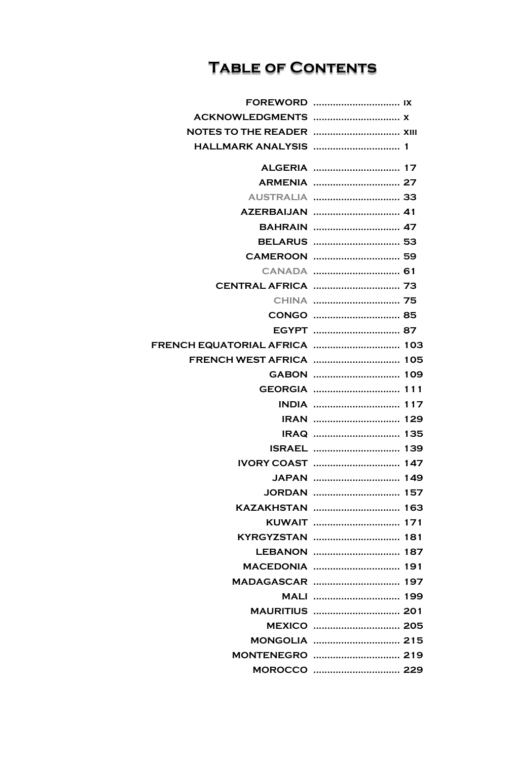## **TABLE OF CONTENTS**

| <b>HALLMARK ANALYSIS  1</b>   |                       |  |
|-------------------------------|-----------------------|--|
|                               |                       |  |
|                               |                       |  |
|                               | AUSTRALIA  33         |  |
|                               |                       |  |
|                               |                       |  |
|                               |                       |  |
|                               |                       |  |
|                               |                       |  |
|                               |                       |  |
|                               |                       |  |
|                               |                       |  |
|                               |                       |  |
| FRENCH EQUATORIAL AFRICA  103 |                       |  |
|                               |                       |  |
|                               |                       |  |
|                               | GEORGIA  111          |  |
|                               | <b>INDIA</b> 117      |  |
|                               |                       |  |
|                               |                       |  |
|                               |                       |  |
| <b>IVORY COAST</b>            |                       |  |
|                               |                       |  |
|                               | JORDAN  157           |  |
|                               | KAZAKHSTAN  163       |  |
|                               |                       |  |
|                               |                       |  |
|                               |                       |  |
|                               |                       |  |
|                               | MADAGASCAR  197       |  |
|                               | MALI  199             |  |
|                               |                       |  |
|                               |                       |  |
|                               | <b>MONGOLIA  215</b>  |  |
|                               | <b>MONTENEGRO</b> 219 |  |
|                               |                       |  |